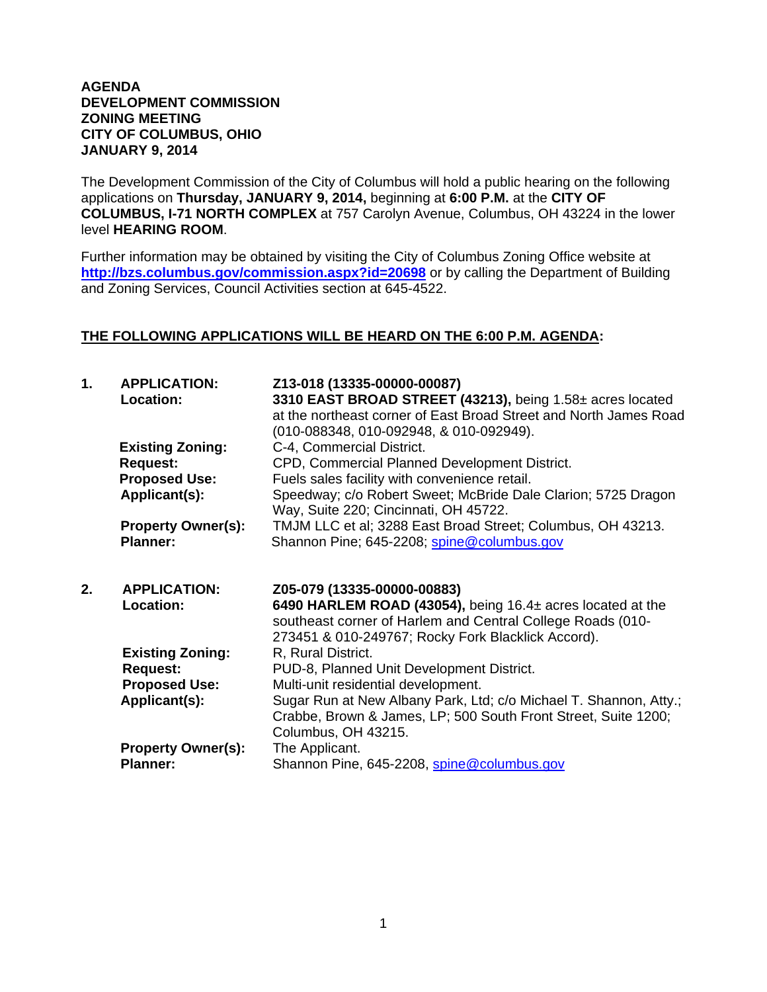## **AGENDA DEVELOPMENT COMMISSION ZONING MEETING CITY OF COLUMBUS, OHIO JANUARY 9, 2014**

The Development Commission of the City of Columbus will hold a public hearing on the following applications on **Thursday, JANUARY 9, 2014,** beginning at **6:00 P.M.** at the **CITY OF COLUMBUS, I-71 NORTH COMPLEX** at 757 Carolyn Avenue, Columbus, OH 43224 in the lower level **HEARING ROOM**.

Further information may be obtained by visiting the City of Columbus Zoning Office website at **http://bzs.columbus.gov/commission.aspx?id=20698** or by calling the Department of Building and Zoning Services, Council Activities section at 645-4522.

## **THE FOLLOWING APPLICATIONS WILL BE HEARD ON THE 6:00 P.M. AGENDA:**

| $\mathbf 1$ . | <b>APPLICATION:</b><br>Location:<br><b>Existing Zoning:</b>        | Z13-018 (13335-00000-00087)<br>3310 EAST BROAD STREET (43213), being 1.58± acres located<br>at the northeast corner of East Broad Street and North James Road<br>(010-088348, 010-092948, & 010-092949).<br>C-4, Commercial District. |
|---------------|--------------------------------------------------------------------|---------------------------------------------------------------------------------------------------------------------------------------------------------------------------------------------------------------------------------------|
|               | <b>Request:</b>                                                    | CPD, Commercial Planned Development District.                                                                                                                                                                                         |
|               | <b>Proposed Use:</b>                                               | Fuels sales facility with convenience retail.                                                                                                                                                                                         |
|               | Applicant(s):                                                      | Speedway; c/o Robert Sweet; McBride Dale Clarion; 5725 Dragon<br>Way, Suite 220; Cincinnati, OH 45722.                                                                                                                                |
|               | <b>Property Owner(s):</b><br><b>Planner:</b>                       | TMJM LLC et al; 3288 East Broad Street; Columbus, OH 43213.<br>Shannon Pine; 645-2208; spine@columbus.gov                                                                                                                             |
| 2.            |                                                                    |                                                                                                                                                                                                                                       |
|               | <b>APPLICATION:</b><br>Location:                                   | Z05-079 (13335-00000-00883)<br>6490 HARLEM ROAD (43054), being $16.4\pm$ acres located at the<br>southeast corner of Harlem and Central College Roads (010-                                                                           |
|               | <b>Existing Zoning:</b>                                            | 273451 & 010-249767; Rocky Fork Blacklick Accord).<br>R, Rural District.                                                                                                                                                              |
|               | <b>Request:</b>                                                    | PUD-8, Planned Unit Development District.                                                                                                                                                                                             |
|               | <b>Proposed Use:</b><br>Applicant(s):<br><b>Property Owner(s):</b> | Multi-unit residential development.<br>Sugar Run at New Albany Park, Ltd; c/o Michael T. Shannon, Atty.;<br>Crabbe, Brown & James, LP; 500 South Front Street, Suite 1200;<br>Columbus, OH 43215.<br>The Applicant.                   |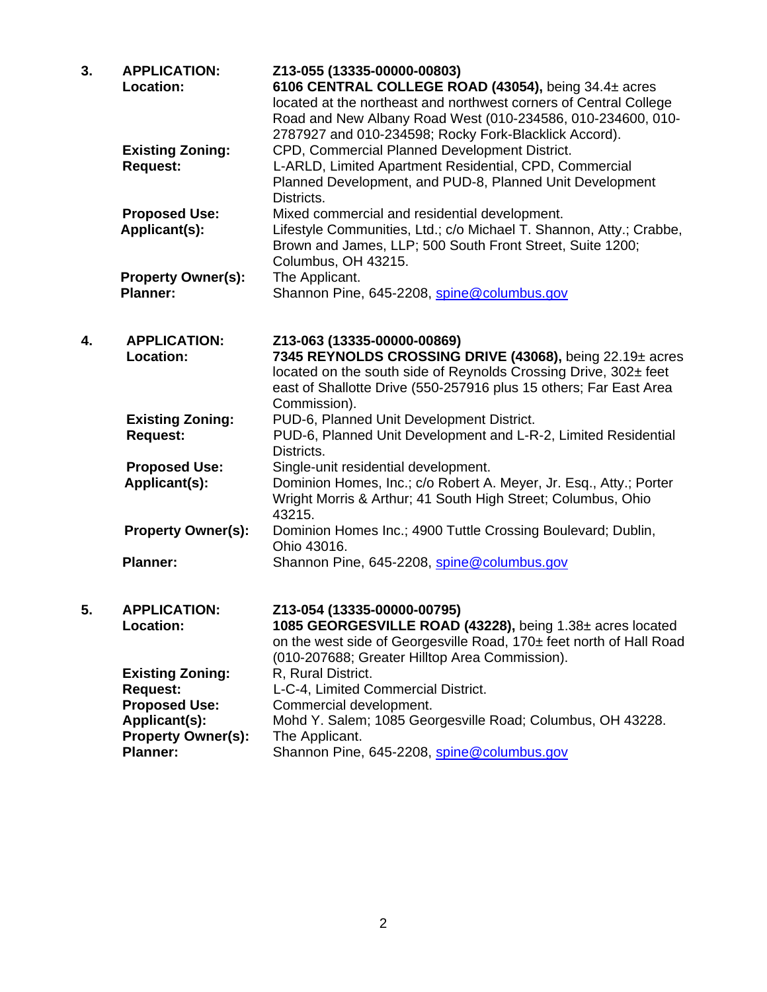| 3. | <b>APPLICATION:</b><br>Location:                                                    | Z13-055 (13335-00000-00803)<br>6106 CENTRAL COLLEGE ROAD (43054), being 34.4± acres<br>located at the northeast and northwest corners of Central College<br>Road and New Albany Road West (010-234586, 010-234600, 010-<br>2787927 and 010-234598; Rocky Fork-Blacklick Accord). |
|----|-------------------------------------------------------------------------------------|----------------------------------------------------------------------------------------------------------------------------------------------------------------------------------------------------------------------------------------------------------------------------------|
|    | <b>Existing Zoning:</b><br><b>Request:</b>                                          | CPD, Commercial Planned Development District.<br>L-ARLD, Limited Apartment Residential, CPD, Commercial<br>Planned Development, and PUD-8, Planned Unit Development<br>Districts.                                                                                                |
|    | <b>Proposed Use:</b><br>Applicant(s):                                               | Mixed commercial and residential development.<br>Lifestyle Communities, Ltd.; c/o Michael T. Shannon, Atty.; Crabbe,<br>Brown and James, LLP; 500 South Front Street, Suite 1200;<br>Columbus, OH 43215.                                                                         |
|    | <b>Property Owner(s):</b><br><b>Planner:</b>                                        | The Applicant.<br>Shannon Pine, 645-2208, spine@columbus.gov                                                                                                                                                                                                                     |
| 4. | <b>APPLICATION:</b><br><b>Location:</b>                                             | Z13-063 (13335-00000-00869)<br>7345 REYNOLDS CROSSING DRIVE (43068), being 22.19± acres<br>located on the south side of Reynolds Crossing Drive, 302± feet<br>east of Shallotte Drive (550-257916 plus 15 others; Far East Area                                                  |
|    | <b>Existing Zoning:</b><br><b>Request:</b>                                          | Commission).<br>PUD-6, Planned Unit Development District.<br>PUD-6, Planned Unit Development and L-R-2, Limited Residential<br>Districts.                                                                                                                                        |
|    | <b>Proposed Use:</b><br>Applicant(s):                                               | Single-unit residential development.<br>Dominion Homes, Inc.; c/o Robert A. Meyer, Jr. Esq., Atty.; Porter<br>Wright Morris & Arthur; 41 South High Street; Columbus, Ohio<br>43215.                                                                                             |
|    | <b>Property Owner(s):</b>                                                           | Dominion Homes Inc.; 4900 Tuttle Crossing Boulevard; Dublin,<br>Ohio 43016.                                                                                                                                                                                                      |
|    | <b>Planner:</b>                                                                     | Shannon Pine, 645-2208, spine@columbus.gov                                                                                                                                                                                                                                       |
| 5. | <b>APPLICATION:</b><br>Location:                                                    | Z13-054 (13335-00000-00795)<br>1085 GEORGESVILLE ROAD (43228), being $1.38\pm$ acres located<br>on the west side of Georgesville Road, 170± feet north of Hall Road<br>(010-207688; Greater Hilltop Area Commission).                                                            |
|    | <b>Existing Zoning:</b><br><b>Request:</b><br><b>Proposed Use:</b><br>Applicant(s): | R, Rural District.<br>L-C-4, Limited Commercial District.<br>Commercial development.<br>Mohd Y. Salem; 1085 Georgesville Road; Columbus, OH 43228.                                                                                                                               |
|    | <b>Property Owner(s):</b><br><b>Planner:</b>                                        | The Applicant.<br>Shannon Pine, 645-2208, spine@columbus.gov                                                                                                                                                                                                                     |